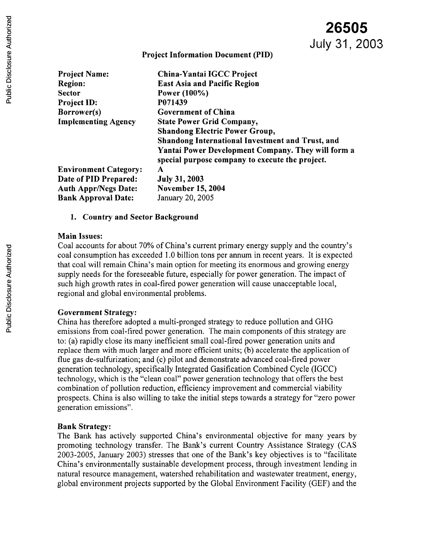**26505**

**Project Information Document (PID)**

| <b>Project Name:</b>         | China-Yantai IGCC Project                                                                                    |  |  |
|------------------------------|--------------------------------------------------------------------------------------------------------------|--|--|
| <b>Region:</b>               | <b>East Asia and Pacific Region</b>                                                                          |  |  |
| <b>Sector</b>                | Power (100%)                                                                                                 |  |  |
| Project ID:                  | P071439                                                                                                      |  |  |
| Borrower(s)                  | <b>Government of China</b>                                                                                   |  |  |
| <b>Implementing Agency</b>   | <b>State Power Grid Company,</b>                                                                             |  |  |
|                              | <b>Shandong Electric Power Group,</b>                                                                        |  |  |
|                              | <b>Shandong International Investment and Trust, and</b>                                                      |  |  |
|                              | <b>Yantai Power Development Company. They will form a</b><br>special purpose company to execute the project. |  |  |
| <b>Environment Category:</b> | A                                                                                                            |  |  |
| Date of PID Prepared:        | <b>July 31, 2003</b>                                                                                         |  |  |
| <b>Auth Appr/Negs Date:</b>  | <b>November 15, 2004</b>                                                                                     |  |  |
| <b>Bank Approval Date:</b>   | January 20, 2005                                                                                             |  |  |

### 1. **Country and Sector Background**

#### **Main Issues:**

Coal accounts for about 70% of China's current primary energy supply and the country's coal consumption has exceeded 1.0 billion tons per annum in recent years. It is expected that coal will remain China's main option for meeting its enormous and growing energy supply needs for the foreseeable future, especially for power generation. The impact of such high growth rates in coal-fired power generation will cause unacceptable local, regional and global environmental problems.

### **Government Strategy:**

China has therefore adopted a multi-pronged strategy to reduce pollution and GHG emissions from coal-fired power generation. The main components of this strategy are to: (a) rapidly close its many inefficient small coal-fired power generation units and replace them with much larger and more efficient units; (b) accelerate the application of flue gas de-sulfurization; and (c) pilot and demonstrate advanced coal-fired power generation technology, specifically Integrated Gasification Combined Cycle (IGCC) technology, which is the "clean coal" power generation technology that offers the best combination of pollution reduction, efficiency improvement and commercial viability prospects. China is also willing to take the initial steps towards a strategy for "zero power generation emissions".

### **Bank Strategy:**

The Bank has actively supported China's environmental objective for many years by promoting technology transfer. The Bank's current Country Assistance Strategy (CAS 2003-2005, January 2003) stresses that one of the Bank's key objectives is to "facilitate China's environmentally sustainable development process, through investment lending in natural resource management, watershed rehabilitation and wastewater treatment, energy, global environment projects supported by the Global Environment Facility (GEF) and the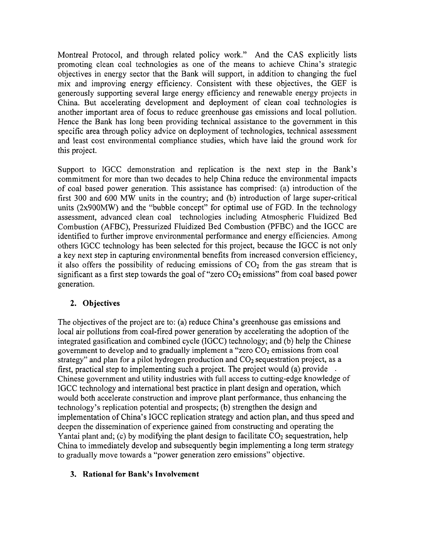Montreal Protocol, and through related policy work." And the CAS explicitly lists promoting clean coal technologies as one of the means to achieve China's strategic objectives in energy sector that the Bank will support, in addition to changing the fuel mix and improving energy efficiency. Consistent with these objectives, the GEF is generously supporting several large energy efficiency and renewable energy projects in China. But accelerating development and deployment of clean coal technologies is another important area of focus to reduce greenhouse gas emissions and local pollution. Hence the Bank has long been providing technical assistance to the government in this specific area through policy advice on deployment of technologies, technical assessment and least cost environmental compliance studies, which have laid the ground work for this project.

Support to IGCC demonstration and replication is the next step in the Bank's commitment for more than two decades to help China reduce the environmental impacts of coal based power generation. This assistance has comprised: (a) introduction of the first 300 and 600 MW units in the country; and (b) introduction of large super-critical units (2x900MW) and the "bubble concept" for optimal use of FGD. In the technology assessment, advanced clean coal technologies including Atmospheric Fluidized Bed Combustion (AFBC), Pressurized Fluidized Bed Combustion (PFBC) and the IGCC are identified to further improve environmental performance and energy efficiencies. Among others IGCC technology has been selected for this project, because the IGCC is not only a key next step in capturing environmental benefits from increased conversion efficiency, it also offers the possibility of reducing emissions of  $CO<sub>2</sub>$  from the gas stream that is significant as a first step towards the goal of "zero  $CO<sub>2</sub>$  emissions" from coal based power generation.

## **2. Objectives**

The objectives of the project are to: (a) reduce China's greenhouse gas emissions and local air pollutions from coal-fired power generation by accelerating the adoption of the integrated gasification and combined cycle (IGCC) technology; and (b) help the Chinese government to develop and to gradually implement a "zero  $CO<sub>2</sub>$  emissions from coal strategy" and plan for a pilot hydrogen production and  $CO<sub>2</sub>$  sequestration project, as a first, practical step to implementing such a project. The project would (a) provide Chinese government and utility industries with full access to cutting-edge knowledge of IGCC technology and international best practice in plant design and operation, which would both accelerate construction and improve plant performance, thus enhancing the technology's replication potential and prospects; (b) strengthen the design and implementation of China's IGCC replication strategy and action plan, and thus speed and deepen the dissemination of experience gained from constructing and operating the Yantai plant and; (c) by modifying the plant design to facilitate  $CO<sub>2</sub>$  sequestration, help China to immediately develop and subsequently begin implementing a long term strategy to gradually move towards a "power generation zero emissions" objective.

### **3. Rational for Bank's Involvement**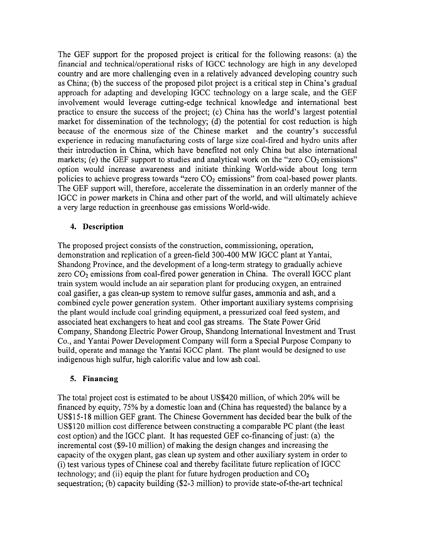The GEF support for the proposed project is critical for the following reasons: (a) the financial and technical/operational risks of IGCC technology are high in any developed country and are more challenging even in a relatively advanced developing country such as China; (b) the success of the proposed pilot project is a critical step in China's gradual approach for adapting and developing IGCC technology on a large scale, and the GEF involvement would leverage cutting-edge technical knowledge and international best practice to ensure the success of the project; (c) China has the world's largest potential market for dissemination of the technology; (d) the potential for cost reduction is high because of the enormous size of the Chinese market and the country's successful experience in reducing manufacturing costs of large size coal-fired and hydro units after their introduction in China, which have benefited not only China but also international markets; (e) the GEF support to studies and analytical work on the "zero  $CO<sub>2</sub>$  emissions" option would increase awareness and initiate thinking World-wide about long term policies to achieve progress towards "zero  $CO<sub>2</sub>$  emissions" from coal-based power plants. The GEF support will, therefore, accelerate the dissemination in an orderly manner of the IGCC in power markets in China and other part of the world, and will ultimately achieve a very large reduction in greenhouse gas emissions World-wide.

## **4. Description**

The proposed project consists of the construction, commissioning, operation, demonstration and replication of a green-field 300-400 MW IGCC plant at Yantai, Shandong Province, and the development of a long-term strategy to gradually achieve zero  $CO<sub>2</sub>$  emissions from coal-fired power generation in China. The overall IGCC plant train system would include an air separation plant for producing oxygen, an entrained coal gasifier, a gas clean-up system to remove sulfur gases, ammonia and ash, and a combined cycle power generation system. Other important auxiliary systems comprising the plant would include coal grinding equipment, a pressurized coal feed system, and associated heat exchangers to heat and cool gas streams. The State Power Grid Company, Shandong Electric Power Group, Shandong International Investment and Trust Co., and Yantai Power Development Company will form a Special Purpose Company to build, operate and manage the Yantai IGCC plant. The plant would be designed to use indigenous high sulfur, high calorific value and low ash coal.

### **5. Financing**

The total project cost is estimated to be about US\$420 million, of which 20% will be financed by equity, 75% by a domestic loan and (China has requested) the balance by a US\$15-18 million GEF grant. The Chinese Government has decided bear the bulk of the US\$120 million cost difference between constructing a comparable PC plant (the least cost option) and the IGCC plant. It has requested GEF co-financing of just: (a) the incremental cost (\$9-10 million) of making the design changes and increasing the capacity of the oxygen plant, gas clean up system and other auxiliary system in order to (i) test various types of Chinese coal and thereby facilitate future replication of IGCC technology; and (ii) equip the plant for future hydrogen production and  $CO<sub>2</sub>$ sequestration; (b) capacity building (\$2-3 million) to provide state-of-the-art technical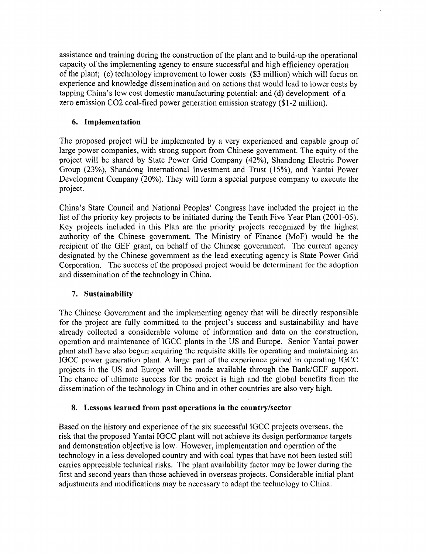assistance and training during the construction of the plant and to build-up the operational capacity of the implementing agency to ensure successful and high efficiency operation of the plant; (c) technology improvement to lower costs (\$3 million) which will focus on experience and knowledge dissemination and on actions that would lead to lower costs by tapping China's low cost domestic manufacturing potential; and (d) development of a zero emission C02 coal-fired power generation emission strategy (\$1-2 million).

# 6. **Implementation**

The proposed project will be implemented by a very experienced and capable group of large power companies, with strong support from Chinese government. The equity of the project will be shared by State Power Grid Company (42%), Shandong Electric Power Group (23%), Shandong International Investment and Trust (15%), and Yantai Power Development Company (20%). They will form a special purpose company to execute the project.

China's State Council and National Peoples' Congress have included the project in the list of the priority key projects to be initiated during the Tenth Five Year Plan (2001-05). Key projects included in this Plan are the priority projects recognized by the highest authority of the Chinese government. The Ministry of Finance (MoF) would be the recipient of the GEF grant, on behalf of the Chinese government. The current agency designated by the Chinese government as the lead executing agency is State Power Grid Corporation. The success of the proposed project would be determinant for the adoption and dissemination of the technology in China.

## 7. **Sustainability**

The Chinese Government and the implementing agency that will be directly responsible for the project are fully committed to the project's success and sustainability and have already collected a considerable volume of information and data on the construction, operation and maintenance of IGCC plants in the US and Europe. Senior Yantai power plant staff have also begun acquiring the requisite skills for operating and maintaining an IGCC power generation plant. A large part of the experience gained in operating IGCC projects in the US and Europe will be made available through the Bank/GEF support. The chance of ultimate success for the project is high and the global benefits from the dissemination of the technology in China and in other countries are also very high.

## 8. **Lessons learned from past operations in the country/sector**

Based on the history and experience of the six successful IGCC projects overseas, the risk that the proposed Yantai IGCC plant will not achieve its design performance targets and demonstration objective is low. However, implementation and operation of the technology in a less developed country and with coal types that have not been tested still carries appreciable technical risks. The plant availability factor may be lower during the first and second years than those achieved in overseas projects. Considerable initial plant adjustments and modifications may be necessary to adapt the technology to China.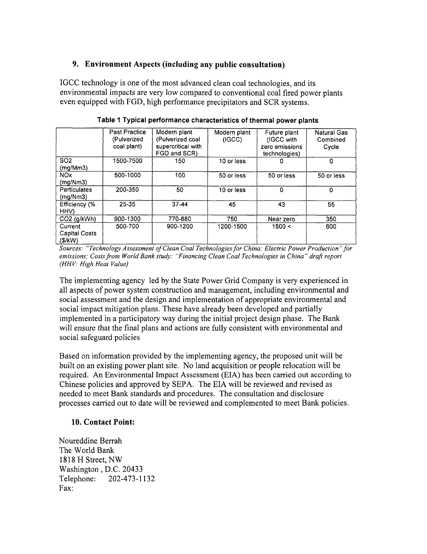### **9. Environment Aspects (including any public consultation)**

IGCC technology is one of the most advanced clean coal technologies, and its environmental impacts are very low compared to conventional coal fired power plants even equipped with FGD, high performance precipitators and SCR systems.

|                                           | <b>Past Practice</b><br>(Pulverized<br>coal plant) | Modern plant<br>(Pulverized coal<br>supercritical with<br>FGD and SCR) | Modern plant<br>(IGCC) | Future plant<br>(IGCC with<br>zero emissions<br>technologies) | <b>Natural Gas</b><br>Combined<br>Cycle |
|-------------------------------------------|----------------------------------------------------|------------------------------------------------------------------------|------------------------|---------------------------------------------------------------|-----------------------------------------|
| SO <sub>2</sub><br>(mg/Mm3)               | 1500-7500                                          | 150                                                                    | 10 or less             | o                                                             | 0                                       |
| NO <sub>x</sub><br>(mq/Nm3)               | 500-1000                                           | 100                                                                    | 50 or less             | 50 or less                                                    | 50 or less                              |
| <b>Particulates</b><br>(mg/Nm3)           | 200-350                                            | 50                                                                     | 10 or less             | 0                                                             | 0                                       |
| Efficiency (%<br>HHV)                     | 25-35                                              | 37-44                                                                  | 45                     | 43                                                            | 55                                      |
| $CO2$ (g/kWh)                             | 900-1300                                           | 770-880                                                                | 750                    | Near zero                                                     | 350                                     |
| Current<br><b>Capital Costs</b><br>(S/KW) | 500-700                                            | 900-1200                                                               | 1200-1500              | 1500 <                                                        | 600                                     |

**Table 1 Typical performance characteristics of thermal power plants**

*Sources: "Technology Assessment of Clean Coal Technologies for China: Electric Power Production "for emissions; Costs from World Bank study: "Financing Clean Coal Technologies in China" draft report (HHV: High Heat Value)*

The implementing agency led by the State Power Grid Company is very experienced in all aspects of power system construction and management, including environmental and social assessment and the design and implementation of appropriate environmental and social impact mitigation plans. These have already been developed and partially implemented in a participatory way during the initial project design phase. The Bank will ensure that the final plans and actions are fully consistent with environmental and social safeguard policies

Based on information provided by the implementing agency, the proposed unit will be built on an existing power plant site. No land acquisition or people relocation will be required. An Environmental Impact Assessment (EIA) has been carried out according to Chinese policies and approved by SEPA. The EIA will be reviewed and revised as needed to meet Bank standards and procedures. The consultation and disclosure processes carried out to date will be reviewed and complemented to meet Bank policies.

### 10. **Contact Point:**

Noureddine Berrah The World Bank 1818 H Street, NW Washington, D.C. 20433 Telephone: 202-473-1132 Fax: